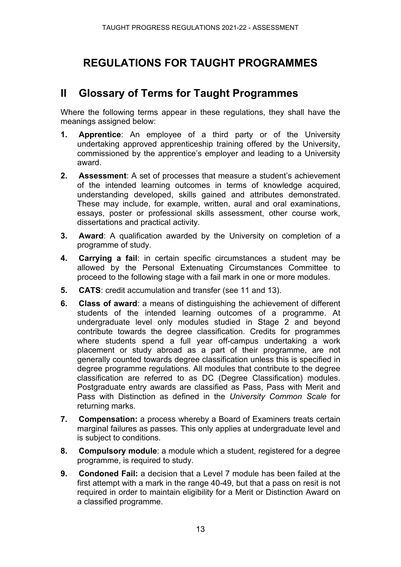# **REGULATIONS FOR TAUGHT PROGRAMMES**

# **II Glossary of Terms for Taught Programmes**

Where the following terms appear in these regulations, they shall have the meanings assigned below:

- **1. Apprentice**: An employee of a third party or of the University undertaking approved apprenticeship training offered by the University, commissioned by the apprentice's employer and leading to a University award.
- **2. Assessment**: A set of processes that measure a student's achievement of the intended learning outcomes in terms of knowledge acquired, understanding developed, skills gained and attributes demonstrated. These may include, for example, written, aural and oral examinations, essays, poster or professional skills assessment, other course work, dissertations and practical activity.
- **3. Award**: A qualification awarded by the University on completion of a programme of study.
- **4. Carrying a fail**: in certain specific circumstances a student may be allowed by the Personal Extenuating Circumstances Committee to proceed to the following stage with a fail mark in one or more modules.
- **5. CATS**: credit accumulation and transfer (see 11 and 13).
- **6. Class of award**: a means of distinguishing the achievement of different students of the intended learning outcomes of a programme. At undergraduate level only modules studied in Stage 2 and beyond contribute towards the degree classification. Credits for programmes where students spend a full year off-campus undertaking a work placement or study abroad as a part of their programme, are not generally counted towards degree classification unless this is specified in degree programme regulations. All modules that contribute to the degree classification are referred to as DC (Degree Classification) modules. Postgraduate entry awards are classified as Pass, Pass with Merit and Pass with Distinction as defined in the *University Common Scale* for returning marks.
- **7. Compensation:** a process whereby a Board of Examiners treats certain marginal failures as passes. This only applies at undergraduate level and is subject to conditions.
- **8. Compulsory module**: a module which a student, registered for a degree programme, is required to study.
- **9. Condoned Fail:** a decision that a Level 7 module has been failed at the first attempt with a mark in the range 40-49, but that a pass on resit is not required in order to maintain eligibility for a Merit or Distinction Award on a classified programme.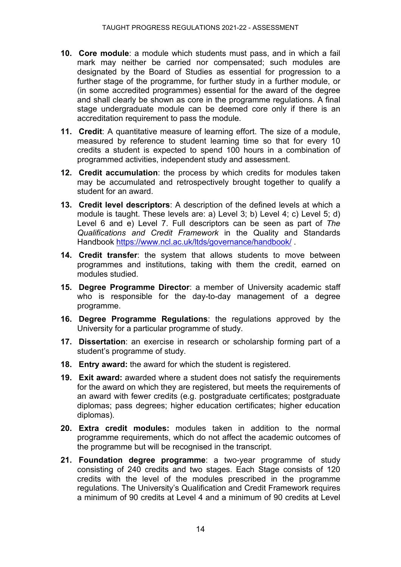- **10. Core module**: a module which students must pass, and in which a fail mark may neither be carried nor compensated; such modules are designated by the Board of Studies as essential for progression to a further stage of the programme, for further study in a further module, or (in some accredited programmes) essential for the award of the degree and shall clearly be shown as core in the programme regulations. A final stage undergraduate module can be deemed core only if there is an accreditation requirement to pass the module.
- **11. Credit**: A quantitative measure of learning effort. The size of a module, measured by reference to student learning time so that for every 10 credits a student is expected to spend 100 hours in a combination of programmed activities, independent study and assessment.
- **12. Credit accumulation**: the process by which credits for modules taken may be accumulated and retrospectively brought together to qualify a student for an award.
- **13. Credit level descriptors**: A description of the defined levels at which a module is taught. These levels are: a) Level 3; b) Level 4; c) Level 5; d) Level 6 and e) Level 7. Full descriptors can be seen as part of *The Qualifications and Credit Framework* in the Quality and Standards Handbook <https://www.ncl.ac.uk/ltds/governance/handbook/> .
- **14. Credit transfer**: the system that allows students to move between programmes and institutions, taking with them the credit, earned on modules studied.
- **15. Degree Programme Director**: a member of University academic staff who is responsible for the day-to-day management of a degree programme.
- **16. Degree Programme Regulations**: the regulations approved by the University for a particular programme of study.
- **17. Dissertation**: an exercise in research or scholarship forming part of a student's programme of study.
- **18. Entry award:** the award for which the student is registered.
- **19. Exit award:** awarded where a student does not satisfy the requirements for the award on which they are registered, but meets the requirements of an award with fewer credits (e.g. postgraduate certificates; postgraduate diplomas; pass degrees; higher education certificates; higher education diplomas).
- **20. Extra credit modules:** modules taken in addition to the normal programme requirements, which do not affect the academic outcomes of the programme but will be recognised in the transcript.
- **21. Foundation degree programme**: a two-year programme of study consisting of 240 credits and two stages. Each Stage consists of 120 credits with the level of the modules prescribed in the programme regulations. The University's Qualification and Credit Framework requires a minimum of 90 credits at Level 4 and a minimum of 90 credits at Level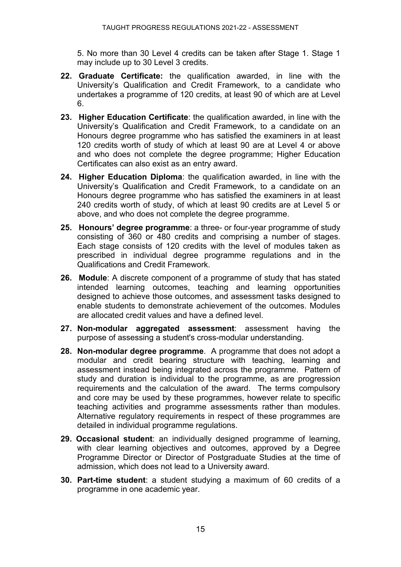5. No more than 30 Level 4 credits can be taken after Stage 1. Stage 1 may include up to 30 Level 3 credits.

- **22. Graduate Certificate:** the qualification awarded, in line with the University's Qualification and Credit Framework, to a candidate who undertakes a programme of 120 credits, at least 90 of which are at Level 6.
- **23. Higher Education Certificate**: the qualification awarded, in line with the University's Qualification and Credit Framework, to a candidate on an Honours degree programme who has satisfied the examiners in at least 120 credits worth of study of which at least 90 are at Level 4 or above and who does not complete the degree programme; Higher Education Certificates can also exist as an entry award.
- **24. Higher Education Diploma**: the qualification awarded, in line with the University's Qualification and Credit Framework, to a candidate on an Honours degree programme who has satisfied the examiners in at least 240 credits worth of study, of which at least 90 credits are at Level 5 or above, and who does not complete the degree programme.
- **25. Honours' degree programme**: a three- or four-year programme of study consisting of 360 or 480 credits and comprising a number of stages. Each stage consists of 120 credits with the level of modules taken as prescribed in individual degree programme regulations and in the Qualifications and Credit Framework.
- **26. Module**: A discrete component of a programme of study that has stated intended learning outcomes, teaching and learning opportunities designed to achieve those outcomes, and assessment tasks designed to enable students to demonstrate achievement of the outcomes. Modules are allocated credit values and have a defined level.
- **27. Non-modular aggregated assessment**: assessment having the purpose of assessing a student's cross-modular understanding.
- **28. Non-modular degree programme**. A programme that does not adopt a modular and credit bearing structure with teaching, learning and assessment instead being integrated across the programme. Pattern of study and duration is individual to the programme, as are progression requirements and the calculation of the award. The terms compulsory and core may be used by these programmes, however relate to specific teaching activities and programme assessments rather than modules. Alternative regulatory requirements in respect of these programmes are detailed in individual programme regulations.
- **29. Occasional student**: an individually designed programme of learning, with clear learning objectives and outcomes, approved by a Degree Programme Director or Director of Postgraduate Studies at the time of admission, which does not lead to a University award.
- **30. Part-time student**: a student studying a maximum of 60 credits of a programme in one academic year.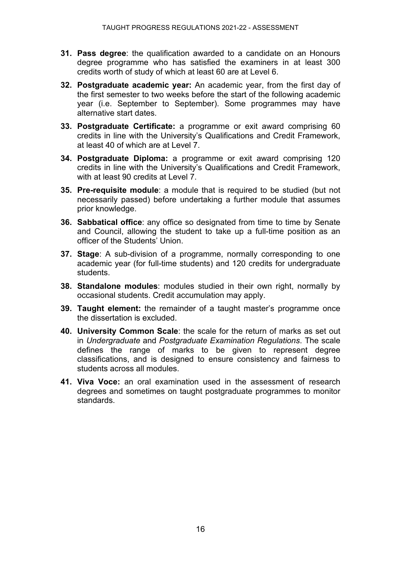- **31. Pass degree**: the qualification awarded to a candidate on an Honours degree programme who has satisfied the examiners in at least 300 credits worth of study of which at least 60 are at Level 6.
- **32. Postgraduate academic year:** An academic year, from the first day of the first semester to two weeks before the start of the following academic year (i.e. September to September). Some programmes may have alternative start dates.
- **33. Postgraduate Certificate:** a programme or exit award comprising 60 credits in line with the University's Qualifications and Credit Framework, at least 40 of which are at Level 7.
- **34. Postgraduate Diploma:** a programme or exit award comprising 120 credits in line with the University's Qualifications and Credit Framework, with at least 90 credits at Level 7.
- **35. Pre-requisite module**: a module that is required to be studied (but not necessarily passed) before undertaking a further module that assumes prior knowledge.
- **36. Sabbatical office**: any office so designated from time to time by Senate and Council, allowing the student to take up a full-time position as an officer of the Students' Union.
- **37. Stage**: A sub-division of a programme, normally corresponding to one academic year (for full-time students) and 120 credits for undergraduate students.
- **38. Standalone modules**: modules studied in their own right, normally by occasional students. Credit accumulation may apply.
- **39. Taught element:** the remainder of a taught master's programme once the dissertation is excluded.
- **40. University Common Scale**: the scale for the return of marks as set out in *Undergraduate* and *Postgraduate Examination Regulations*. The scale defines the range of marks to be given to represent degree classifications, and is designed to ensure consistency and fairness to students across all modules.
- **41. Viva Voce:** an oral examination used in the assessment of research degrees and sometimes on taught postgraduate programmes to monitor standards.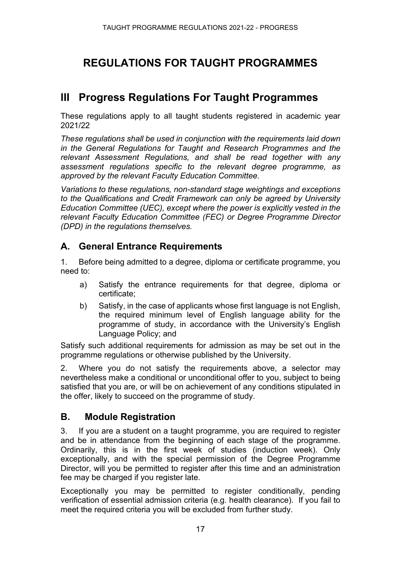# **REGULATIONS FOR TAUGHT PROGRAMMES**

# **lII Progress Regulations For Taught Programmes**

These regulations apply to all taught students registered in academic year 2021/22

*These regulations shall be used in conjunction with the requirements laid down in the General Regulations for Taught and Research Programmes and the relevant Assessment Regulations, and shall be read together with any assessment regulations specific to the relevant degree programme, as approved by the relevant Faculty Education Committee.*

*Variations to these regulations, non-standard stage weightings and exceptions to the Qualifications and Credit Framework can only be agreed by University Education Committee (UEC), except where the power is explicitly vested in the relevant Faculty Education Committee (FEC) or Degree Programme Director (DPD) in the regulations themselves.* 

### **A. General Entrance Requirements**

1. Before being admitted to a degree, diploma or certificate programme, you need to:

- a) Satisfy the entrance requirements for that degree, diploma or certificate;
- b) Satisfy, in the case of applicants whose first language is not English, the required minimum level of English language ability for the programme of study, in accordance with the University's English Language Policy; and

Satisfy such additional requirements for admission as may be set out in the programme regulations or otherwise published by the University.

2. Where you do not satisfy the requirements above, a selector may nevertheless make a conditional or unconditional offer to you, subject to being satisfied that you are, or will be on achievement of any conditions stipulated in the offer, likely to succeed on the programme of study.

### **B. Module Registration**

3. If you are a student on a taught programme, you are required to register and be in attendance from the beginning of each stage of the programme. Ordinarily, this is in the first week of studies (induction week). Only exceptionally, and with the special permission of the Degree Programme Director, will you be permitted to register after this time and an administration fee may be charged if you register late.

Exceptionally you may be permitted to register conditionally, pending verification of essential admission criteria (e.g. health clearance). If you fail to meet the required criteria you will be excluded from further study.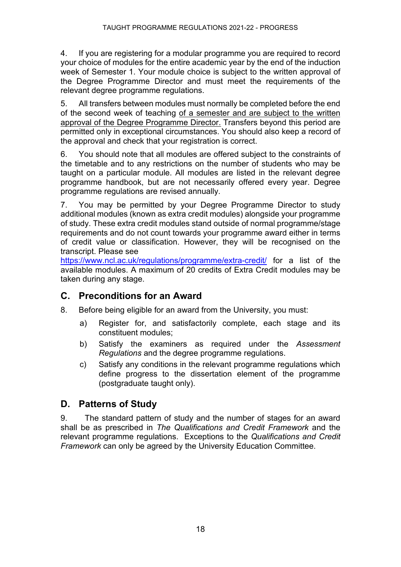4. If you are registering for a modular programme you are required to record your choice of modules for the entire academic year by the end of the induction week of Semester 1. Your module choice is subject to the written approval of the Degree Programme Director and must meet the requirements of the relevant degree programme regulations.

5. All transfers between modules must normally be completed before the end of the second week of teaching of a semester and are subject to the written approval of the Degree Programme Director. Transfers beyond this period are permitted only in exceptional circumstances. You should also keep a record of the approval and check that your registration is correct.

6. You should note that all modules are offered subject to the constraints of the timetable and to any restrictions on the number of students who may be taught on a particular module. All modules are listed in the relevant degree programme handbook, but are not necessarily offered every year. Degree programme regulations are revised annually.

7. You may be permitted by your Degree Programme Director to study additional modules (known as extra credit modules) alongside your programme of study. These extra credit modules stand outside of normal programme/stage requirements and do not count towards your programme award either in terms of credit value or classification. However, they will be recognised on the transcript. Please see

<https://www.ncl.ac.uk/regulations/programme/extra-credit/> for a list of the available modules. A maximum of 20 credits of Extra Credit modules may be taken during any stage.

# **C. Preconditions for an Award**

- 8. Before being eligible for an award from the University, you must:
	- a) Register for, and satisfactorily complete, each stage and its constituent modules;
	- b) Satisfy the examiners as required under the *Assessment Regulations* and the degree programme regulations.
	- c) Satisfy any conditions in the relevant programme regulations which define progress to the dissertation element of the programme (postgraduate taught only).

# **D. Patterns of Study**

9. The standard pattern of study and the number of stages for an award shall be as prescribed in *The Qualifications and Credit Framework* and the relevant programme regulations. Exceptions to the *Qualifications and Credit Framework* can only be agreed by the University Education Committee.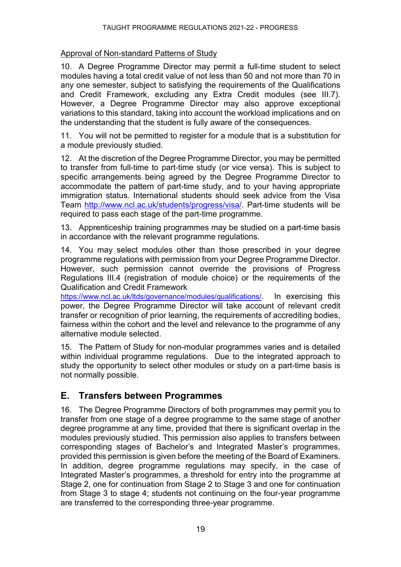### Approval of Non-standard Patterns of Study

10. A Degree Programme Director may permit a full-time student to select modules having a total credit value of not less than 50 and not more than 70 in any one semester, subject to satisfying the requirements of the Qualifications and Credit Framework, excluding any Extra Credit modules (see III.7). However, a Degree Programme Director may also approve exceptional variations to this standard, taking into account the workload implications and on the understanding that the student is fully aware of the consequences.

11. You will not be permitted to register for a module that is a substitution for a module previously studied.

12. At the discretion of the Degree Programme Director, you may be permitted to transfer from full-time to part-time study (or vice versa). This is subject to specific arrangements being agreed by the Degree Programme Director to accommodate the pattern of part-time study, and to your having appropriate immigration status. International students should seek advice from the Visa Team [http://www.ncl.ac.uk/students/progress/visa/.](http://www.ncl.ac.uk/students/progress/visa/) Part-time students will be required to pass each stage of the part-time programme.

13. Apprenticeship training programmes may be studied on a part-time basis in accordance with the relevant programme regulations.

14. You may select modules other than those prescribed in your degree programme regulations with permission from your Degree Programme Director. However, such permission cannot override the provisions of Progress Regulations III.4 (registration of module choice) or the requirements of the Qualification and Credit Framework

[https://www.ncl.ac.uk/ltds/governance/modules/qualifications/.](https://www.ncl.ac.uk/ltds/governance/modules/qualifications/) In exercising this power, the Degree Programme Director will take account of relevant credit transfer or recognition of prior learning, the requirements of accrediting bodies, fairness within the cohort and the level and relevance to the programme of any alternative module selected.

15. The Pattern of Study for non-modular programmes varies and is detailed within individual programme regulations. Due to the integrated approach to study the opportunity to select other modules or study on a part-time basis is not normally possible.

# **E. Transfers between Programmes**

16. The Degree Programme Directors of both programmes may permit you to transfer from one stage of a degree programme to the same stage of another degree programme at any time, provided that there is significant overlap in the modules previously studied. This permission also applies to transfers between corresponding stages of Bachelor's and Integrated Master's programmes, provided this permission is given before the meeting of the Board of Examiners. In addition, degree programme regulations may specify, in the case of Integrated Master's programmes, a threshold for entry into the programme at Stage 2, one for continuation from Stage 2 to Stage 3 and one for continuation from Stage 3 to stage 4; students not continuing on the four-year programme are transferred to the corresponding three-year programme.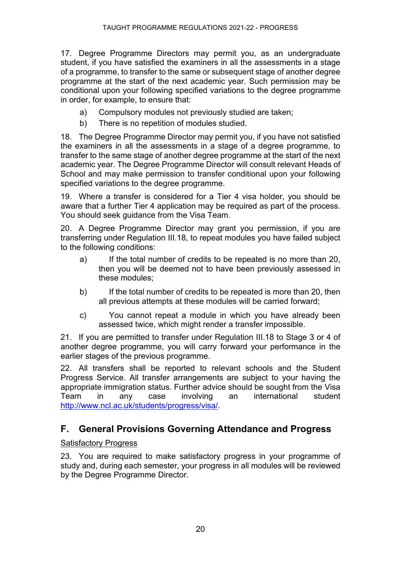17. Degree Programme Directors may permit you, as an undergraduate student, if you have satisfied the examiners in all the assessments in a stage of a programme, to transfer to the same or subsequent stage of another degree programme at the start of the next academic year. Such permission may be conditional upon your following specified variations to the degree programme in order, for example, to ensure that:

- a) Compulsory modules not previously studied are taken;
- b) There is no repetition of modules studied.

18. The Degree Programme Director may permit you, if you have not satisfied the examiners in all the assessments in a stage of a degree programme, to transfer to the same stage of another degree programme at the start of the next academic year. The Degree Programme Director will consult relevant Heads of School and may make permission to transfer conditional upon your following specified variations to the degree programme.

19. Where a transfer is considered for a Tier 4 visa holder, you should be aware that a further Tier 4 application may be required as part of the process. You should seek guidance from the Visa Team.

20. A Degree Programme Director may grant you permission, if you are transferring under Regulation III.18, to repeat modules you have failed subject to the following conditions:

- a) If the total number of credits to be repeated is no more than 20, then you will be deemed not to have been previously assessed in these modules;
- b) If the total number of credits to be repeated is more than 20, then all previous attempts at these modules will be carried forward;
- c) You cannot repeat a module in which you have already been assessed twice, which might render a transfer impossible.

21. If you are permitted to transfer under Regulation III.18 to Stage 3 or 4 of another degree programme, you will carry forward your performance in the earlier stages of the previous programme.

22. All transfers shall be reported to relevant schools and the Student Progress Service. All transfer arrangements are subject to your having the appropriate immigration status. Further advice should be sought from the Visa Team in any case involving an international student [http://www.ncl.ac.uk/students/progress/visa/.](http://www.ncl.ac.uk/students/progress/visa/)

### **F. General Provisions Governing Attendance and Progress**

#### Satisfactory Progress

23. You are required to make satisfactory progress in your programme of study and, during each semester, your progress in all modules will be reviewed by the Degree Programme Director.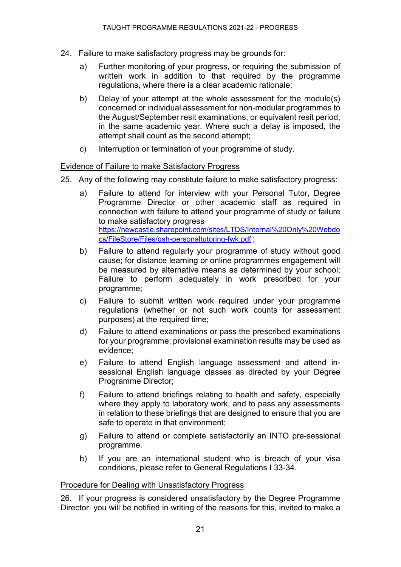- 24. Failure to make satisfactory progress may be grounds for:
	- a) Further monitoring of your progress, or requiring the submission of written work in addition to that required by the programme regulations, where there is a clear academic rationale;
	- b) Delay of your attempt at the whole assessment for the module(s) concerned or individual assessment for non-modular programmes to the August/September resit examinations, or equivalent resit period, in the same academic year. Where such a delay is imposed, the attempt shall count as the second attempt;
	- c) Interruption or termination of your programme of study.

#### Evidence of Failure to make Satisfactory Progress

- 25. Any of the following may constitute failure to make satisfactory progress:
	- a) Failure to attend for interview with your Personal Tutor, Degree Programme Director or other academic staff as required in connection with failure to attend your programme of study or failure to make satisfactory progress [https://newcastle.sharepoint.com/sites/LTDS/Internal%20Only%20Webdo](https://newcastle.sharepoint.com/sites/LTDS/Internal%20Only%20Webdocs/FileStore/Files/qsh-personaltutoring-fwk.pdf) [cs/FileStore/Files/qsh-personaltutoring-fwk.pdf](https://newcastle.sharepoint.com/sites/LTDS/Internal%20Only%20Webdocs/FileStore/Files/qsh-personaltutoring-fwk.pdf) ;
	- b) Failure to attend regularly your programme of study without good cause; for distance learning or online programmes engagement will be measured by alternative means as determined by your school; Failure to perform adequately in work prescribed for your programme;
	- c) Failure to submit written work required under your programme regulations (whether or not such work counts for assessment purposes) at the required time;
	- d) Failure to attend examinations or pass the prescribed examinations for your programme; provisional examination results may be used as evidence;
	- e) Failure to attend English language assessment and attend insessional English language classes as directed by your Degree Programme Director;
	- f) Failure to attend briefings relating to health and safety, especially where they apply to laboratory work, and to pass any assessments in relation to these briefings that are designed to ensure that you are safe to operate in that environment;
	- g) Failure to attend or complete satisfactorily an INTO pre-sessional programme.
	- h) If you are an international student who is breach of your visa conditions, please refer to General Regulations I 33-34.

#### Procedure for Dealing with Unsatisfactory Progress

26. If your progress is considered unsatisfactory by the Degree Programme Director, you will be notified in writing of the reasons for this, invited to make a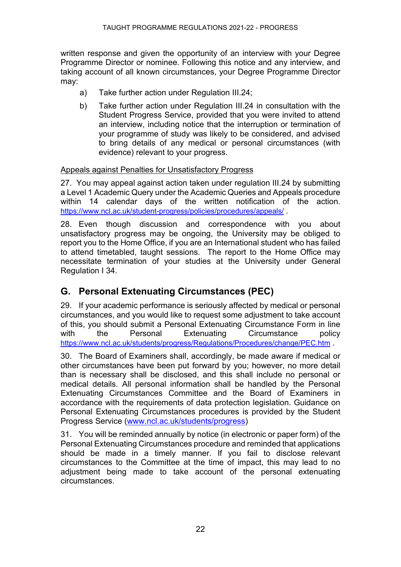written response and given the opportunity of an interview with your Degree Programme Director or nominee. Following this notice and any interview, and taking account of all known circumstances, your Degree Programme Director may:

- a) Take further action under Regulation III.24;
- b) Take further action under Regulation III.24 in consultation with the Student Progress Service, provided that you were invited to attend an interview, including notice that the interruption or termination of your programme of study was likely to be considered, and advised to bring details of any medical or personal circumstances (with evidence) relevant to your progress.

#### Appeals against Penalties for Unsatisfactory Progress

27. You may appeal against action taken under regulation III.24 by submitting a Level 1 Academic Query under the Academic Queries and Appeals procedure within 14 calendar days of the written notification of the action. <https://www.ncl.ac.uk/student-progress/policies/procedures/appeals/> .

28. Even though discussion and correspondence with you about unsatisfactory progress may be ongoing, the University may be obliged to report you to the Home Office, if you are an International student who has failed to attend timetabled, taught sessions. The report to the Home Office may necessitate termination of your studies at the University under General Regulation I 34.

# **G. Personal Extenuating Circumstances (PEC)**

29. If your academic performance is seriously affected by medical or personal circumstances, and you would like to request some adjustment to take account of this, you should submit a Personal Extenuating Circumstance Form in line with the Personal Extenuating Circumstance policy <https://www.ncl.ac.uk/students/progress/Regulations/Procedures/change/PEC.htm> .

30. The Board of Examiners shall, accordingly, be made aware if medical or other circumstances have been put forward by you; however, no more detail than is necessary shall be disclosed, and this shall include no personal or medical details. All personal information shall be handled by the Personal Extenuating Circumstances Committee and the Board of Examiners in accordance with the requirements of data protection legislation. Guidance on Personal Extenuating Circumstances procedures is provided by the Student Progress Service [\(www.ncl.ac.uk/students/progress\)](http://www.ncl.ac.uk/students/progress)

31. You will be reminded annually by notice (in electronic or paper form) of the Personal Extenuating Circumstances procedure and reminded that applications should be made in a timely manner. If you fail to disclose relevant circumstances to the Committee at the time of impact, this may lead to no adjustment being made to take account of the personal extenuating circumstances.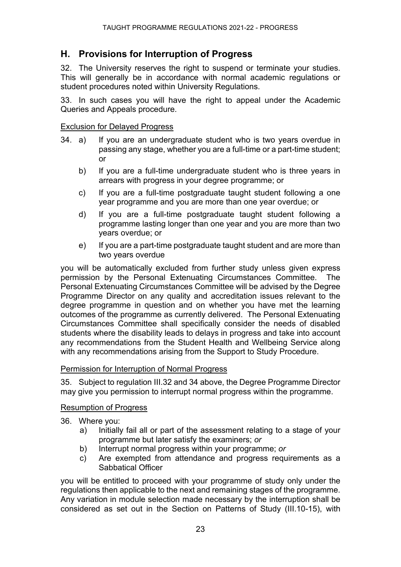### **H. Provisions for Interruption of Progress**

32. The University reserves the right to suspend or terminate your studies. This will generally be in accordance with normal academic regulations or student procedures noted within University Regulations.

33. In such cases you will have the right to appeal under the Academic Queries and Appeals procedure.

#### Exclusion for Delayed Progress

- 34. a) If you are an undergraduate student who is two years overdue in passing any stage, whether you are a full-time or a part-time student; or
	- b) If you are a full-time undergraduate student who is three years in arrears with progress in your degree programme; or
	- c) If you are a full-time postgraduate taught student following a one year programme and you are more than one year overdue; or
	- d) If you are a full-time postgraduate taught student following a programme lasting longer than one year and you are more than two years overdue; or
	- e) If you are a part-time postgraduate taught student and are more than two years overdue

you will be automatically excluded from further study unless given express permission by the Personal Extenuating Circumstances Committee. The Personal Extenuating Circumstances Committee will be advised by the Degree Programme Director on any quality and accreditation issues relevant to the degree programme in question and on whether you have met the learning outcomes of the programme as currently delivered. The Personal Extenuating Circumstances Committee shall specifically consider the needs of disabled students where the disability leads to delays in progress and take into account any recommendations from the Student Health and Wellbeing Service along with any recommendations arising from the Support to Study Procedure.

#### Permission for Interruption of Normal Progress

35. Subject to regulation III.32 and 34 above, the Degree Programme Director may give you permission to interrupt normal progress within the programme.

#### Resumption of Progress

- 36. Where you:
	- a) Initially fail all or part of the assessment relating to a stage of your programme but later satisfy the examiners; *or*
	- b) Interrupt normal progress within your programme; *or*
	- c) Are exempted from attendance and progress requirements as a Sabbatical Officer

you will be entitled to proceed with your programme of study only under the regulations then applicable to the next and remaining stages of the programme. Any variation in module selection made necessary by the interruption shall be considered as set out in the Section on Patterns of Study (III.10-15), with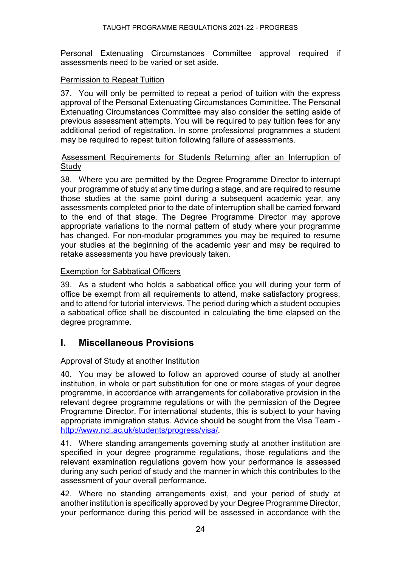Personal Extenuating Circumstances Committee approval required if assessments need to be varied or set aside.

#### Permission to Repeat Tuition

37. You will only be permitted to repeat a period of tuition with the express approval of the Personal Extenuating Circumstances Committee. The Personal Extenuating Circumstances Committee may also consider the setting aside of previous assessment attempts. You will be required to pay tuition fees for any additional period of registration. In some professional programmes a student may be required to repeat tuition following failure of assessments.

#### Assessment Requirements for Students Returning after an Interruption of **Study**

38. Where you are permitted by the Degree Programme Director to interrupt your programme of study at any time during a stage, and are required to resume those studies at the same point during a subsequent academic year, any assessments completed prior to the date of interruption shall be carried forward to the end of that stage. The Degree Programme Director may approve appropriate variations to the normal pattern of study where your programme has changed. For non-modular programmes you may be required to resume your studies at the beginning of the academic year and may be required to retake assessments you have previously taken.

#### Exemption for Sabbatical Officers

39. As a student who holds a sabbatical office you will during your term of office be exempt from all requirements to attend, make satisfactory progress, and to attend for tutorial interviews. The period during which a student occupies a sabbatical office shall be discounted in calculating the time elapsed on the degree programme.

### **I. Miscellaneous Provisions**

#### Approval of Study at another Institution

40. You may be allowed to follow an approved course of study at another institution, in whole or part substitution for one or more stages of your degree programme, in accordance with arrangements for collaborative provision in the relevant degree programme regulations or with the permission of the Degree Programme Director. For international students, this is subject to your having appropriate immigration status. Advice should be sought from the Visa Team [http://www.ncl.ac.uk/students/progress/visa/.](http://www.ncl.ac.uk/students/progress/visa/)

41. Where standing arrangements governing study at another institution are specified in your degree programme regulations, those regulations and the relevant examination regulations govern how your performance is assessed during any such period of study and the manner in which this contributes to the assessment of your overall performance.

42. Where no standing arrangements exist, and your period of study at another institution is specifically approved by your Degree Programme Director, your performance during this period will be assessed in accordance with the